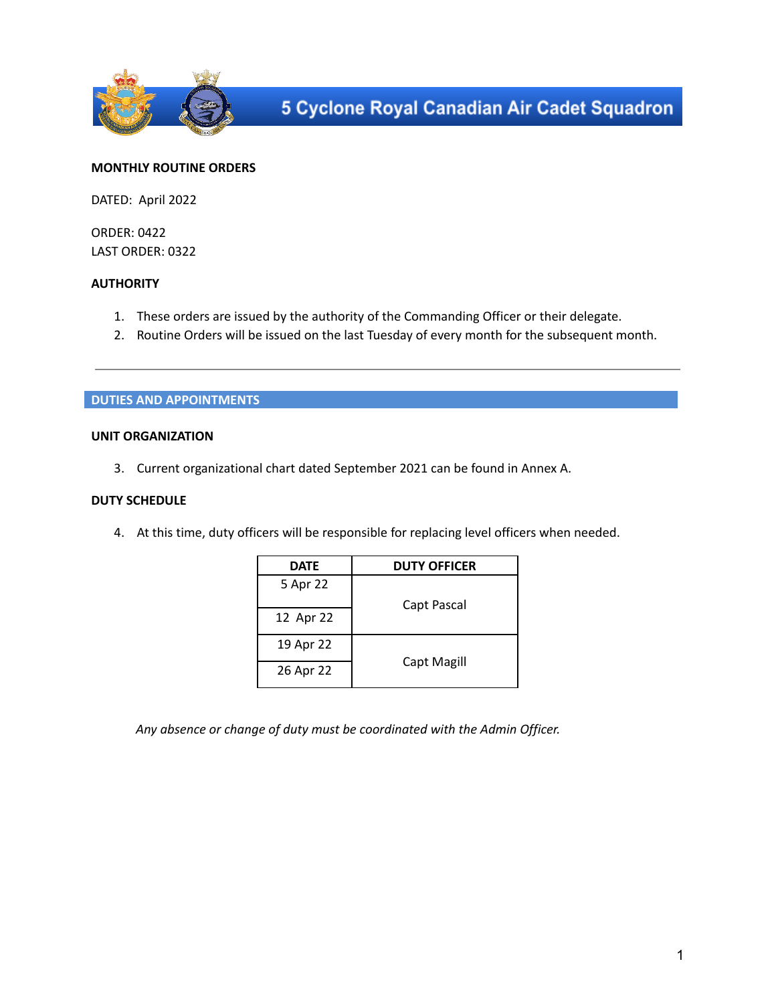

# **MONTHLY ROUTINE ORDERS**

DATED: April 2022

ORDER: 0422 LAST ORDER: 0322

# **AUTHORITY**

- 1. These orders are issued by the authority of the Commanding Officer or their delegate.
- 2. Routine Orders will be issued on the last Tuesday of every month for the subsequent month.

## **DUTIES AND APPOINTMENTS**

## **UNIT ORGANIZATION**

3. Current organizational chart dated September 2021 can be found in Annex A.

## **DUTY SCHEDULE**

4. At this time, duty officers will be responsible for replacing level officers when needed.

| <b>DATE</b> | <b>DUTY OFFICER</b> |
|-------------|---------------------|
| 5 Apr 22    |                     |
|             | Capt Pascal         |
| 12 Apr 22   |                     |
| 19 Apr 22   | Capt Magill         |
| 26 Apr 22   |                     |

*Any absence or change of duty must be coordinated with the Admin Officer.*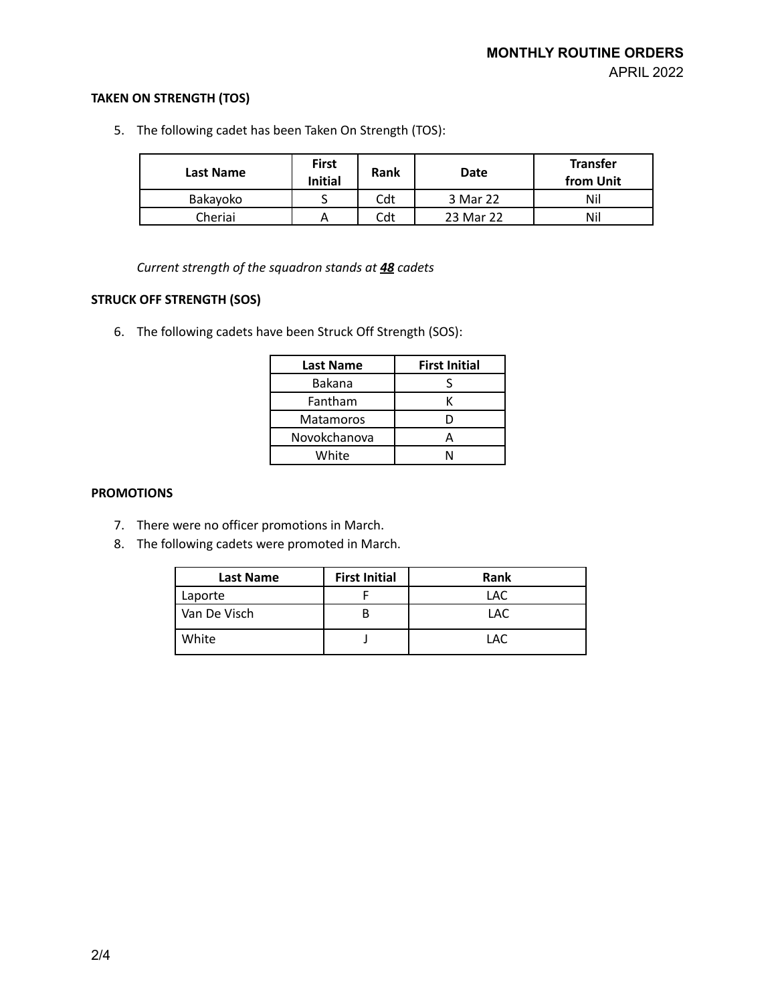# **TAKEN ON STRENGTH (TOS)**

5. The following cadet has been Taken On Strength (TOS):

| Last Name | <b>First</b><br><b>Initial</b> | Rank | Date      | <b>Transfer</b><br>from Unit |
|-----------|--------------------------------|------|-----------|------------------------------|
| Bakavoko  |                                | Cdt  | 3 Mar 22  | Nil                          |
| Cheriai   | А                              | Cdt  | 23 Mar 22 | Nil                          |

*Current strength of the squadron stands at 48 cadets*

# **STRUCK OFF STRENGTH (SOS)**

6. The following cadets have been Struck Off Strength (SOS):

| <b>Last Name</b> | <b>First Initial</b> |
|------------------|----------------------|
| Bakana           |                      |
| Fantham          |                      |
| <b>Matamoros</b> |                      |
| Novokchanova     |                      |
| White            |                      |

### **PROMOTIONS**

- 7. There were no officer promotions in March.
- 8. The following cadets were promoted in March.

| <b>Last Name</b> | <b>First Initial</b> | <b>Rank</b> |
|------------------|----------------------|-------------|
| Laporte          |                      | LAC         |
| Van De Visch     |                      | LAC         |
| White            |                      | LAC         |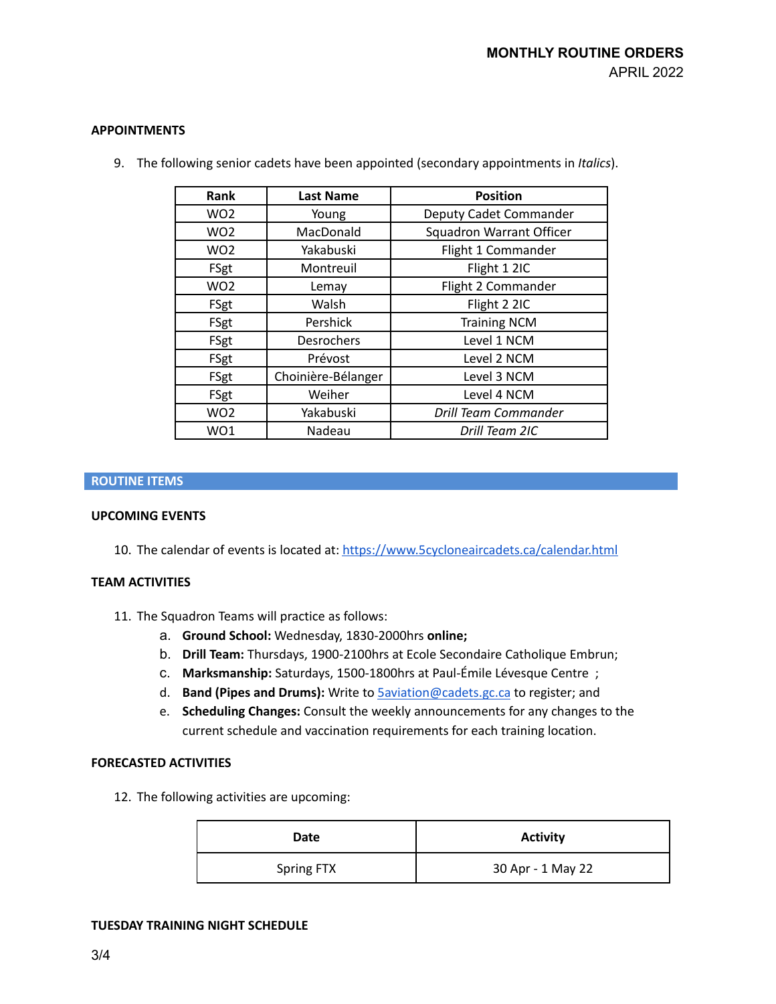## **APPOINTMENTS**

| Rank            | <b>Last Name</b>   | <b>Position</b>                 |
|-----------------|--------------------|---------------------------------|
| WO <sub>2</sub> | Young              | Deputy Cadet Commander          |
| WO <sub>2</sub> | MacDonald          | <b>Squadron Warrant Officer</b> |
| WO <sub>2</sub> | Yakabuski          | Flight 1 Commander              |
| FSgt            | Montreuil          | Flight 1 2IC                    |
| WO <sub>2</sub> | Lemay              | Flight 2 Commander              |
| FSgt            | Walsh              | Flight 2 2IC                    |
| FSgt            | Pershick           | <b>Training NCM</b>             |
| FSgt            | <b>Desrochers</b>  | Level 1 NCM                     |
| FSgt            | Prévost            | Level 2 NCM                     |
| FSgt            | Choinière-Bélanger | Level 3 NCM                     |
| FSgt            | Weiher             | Level 4 NCM                     |
| WO <sub>2</sub> | Yakabuski          | <b>Drill Team Commander</b>     |
| WO1             | Nadeau             | Drill Team 2IC                  |

9. The following senior cadets have been appointed (secondary appointments in *Italics*).

# **ROUTINE ITEMS**

# **UPCOMING EVENTS**

10. The calendar of events is located at: <https://www.5cycloneaircadets.ca/calendar.html>

# **TEAM ACTIVITIES**

- 11. The Squadron Teams will practice as follows:
	- a. **Ground School:** Wednesday, 1830-2000hrs **online;**
	- b. **Drill Team:** Thursdays, 1900-2100hrs at Ecole Secondaire Catholique Embrun;
	- c. **Marksmanship:** Saturdays, 1500-1800hrs at Paul-Émile Lévesque Centre ;
	- d. **Band (Pipes and Drums):** Write to [5aviation@cadets.gc.ca](mailto:5aviation@cadets.gc.ca) to register; and
	- e. **Scheduling Changes:** Consult the weekly announcements for any changes to the current schedule and vaccination requirements for each training location.

#### **FORECASTED ACTIVITIES**

12. The following activities are upcoming:

| Date       | <b>Activity</b>   |
|------------|-------------------|
| Spring FTX | 30 Apr - 1 May 22 |

#### **TUESDAY TRAINING NIGHT SCHEDULE**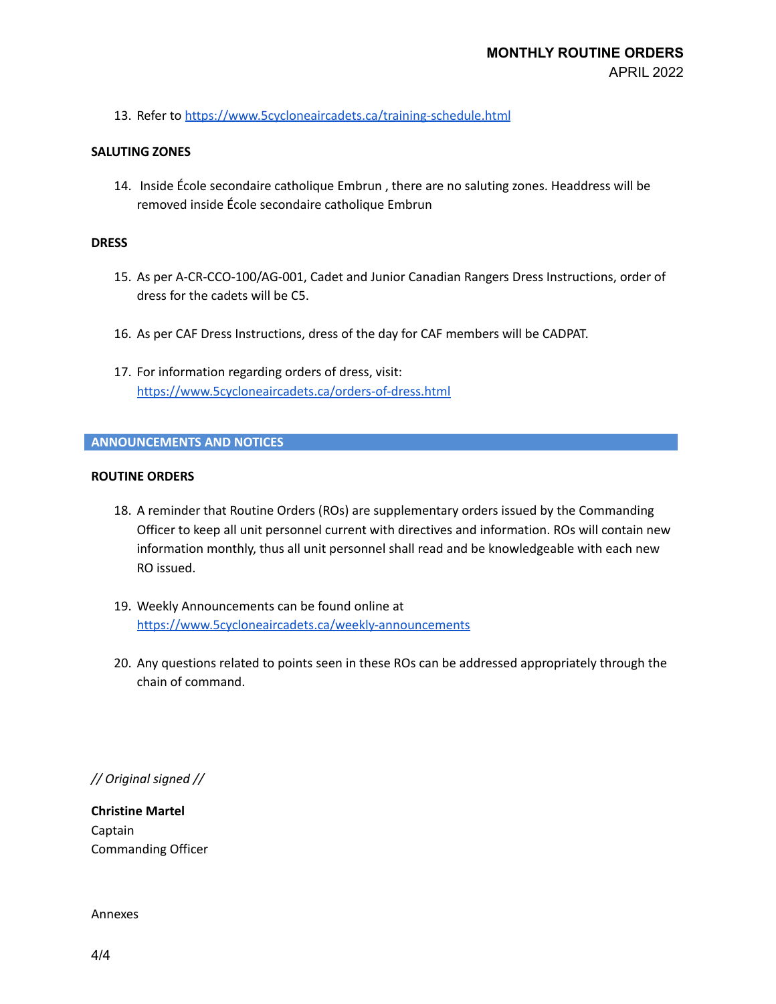13. Refer to <https://www.5cycloneaircadets.ca/training-schedule.html>

### **SALUTING ZONES**

14. Inside École secondaire catholique Embrun , there are no saluting zones. Headdress will be removed inside École secondaire catholique Embrun

### **DRESS**

- 15. As per A-CR-CCO-100/AG-001, Cadet and Junior Canadian Rangers Dress Instructions, order of dress for the cadets will be C5.
- 16. As per CAF Dress Instructions, dress of the day for CAF members will be CADPAT.
- 17. For information regarding orders of dress, visit: <https://www.5cycloneaircadets.ca/orders-of-dress.html>

## **ANNOUNCEMENTS AND NOTICES**

## **ROUTINE ORDERS**

- 18. A reminder that Routine Orders (ROs) are supplementary orders issued by the Commanding Officer to keep all unit personnel current with directives and information. ROs will contain new information monthly, thus all unit personnel shall read and be knowledgeable with each new RO issued.
- 19. Weekly Announcements can be found online at <https://www.5cycloneaircadets.ca/weekly-announcements>
- 20. Any questions related to points seen in these ROs can be addressed appropriately through the chain of command.

*// Original signed //*

**Christine Martel** Captain Commanding Officer

Annexes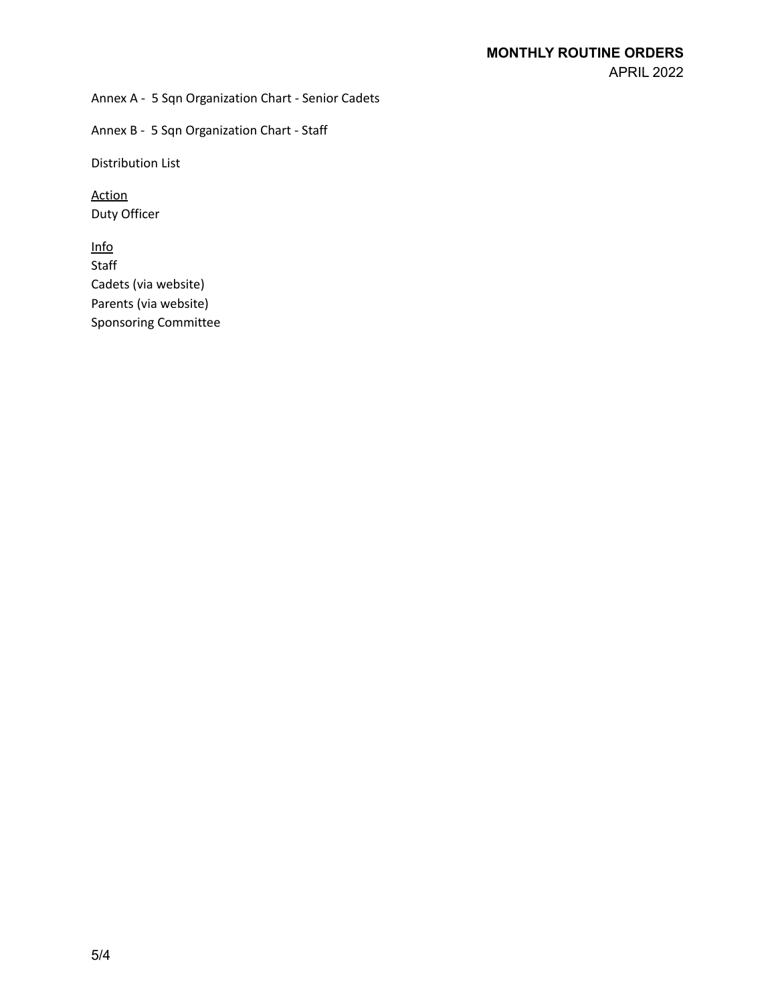Annex A - 5 Sqn Organization Chart - Senior Cadets

Annex B - 5 Sqn Organization Chart - Staff

Distribution List

Action Duty Officer

Info Staff Cadets (via website) Parents (via website) Sponsoring Committee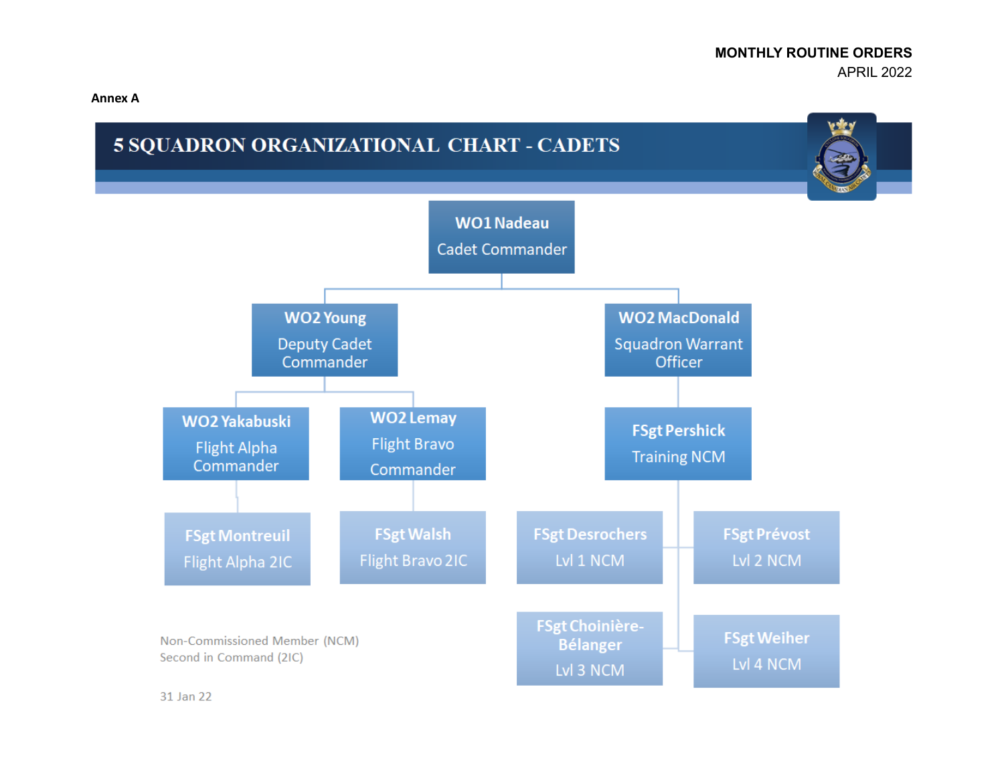**Annex A**